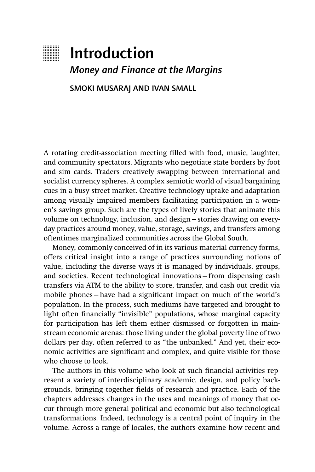

# **Introduction**

*Money and Finance at the Margins*

SMOKI MUSARAJ AND IVAN SMALL

A rotating credit-association meeting filled with food, music, laughter, and community spectators. Migrants who negotiate state borders by foot and sim cards. Traders creatively swapping between international and socialist currency spheres. A complex semiotic world of visual bargaining cues in a busy street market. Creative technology uptake and adaptation among visually impaired members facilitating participation in a women's savings group. Such are the types of lively stories that animate this volume on technology, inclusion, and design—stories drawing on everyday practices around money, value, storage, savings, and transfers among oftentimes marginalized communities across the Global South.

Money, commonly conceived of in its various material currency forms, offers critical insight into a range of practices surrounding notions of value, including the diverse ways it is managed by individuals, groups, and societies. Recent technological innovations—from dispensing cash transfers via ATM to the ability to store, transfer, and cash out credit via mobile phones – have had a significant impact on much of the world's population. In the process, such mediums have targeted and brought to light often financially "invisible" populations, whose marginal capacity for participation has left them either dismissed or forgotten in mainstream economic arenas: those living under the global poverty line of two dollars per day, often referred to as "the unbanked." And yet, their economic activities are significant and complex, and quite visible for those who choose to look.

The authors in this volume who look at such financial activities represent a variety of interdisciplinary academic, design, and policy backgrounds, bringing together fields of research and practice. Each of the chapters addresses changes in the uses and meanings of money that occur through more general political and economic but also technological transformations. Indeed, technology is a central point of inquiry in the volume. Across a range of locales, the authors examine how recent and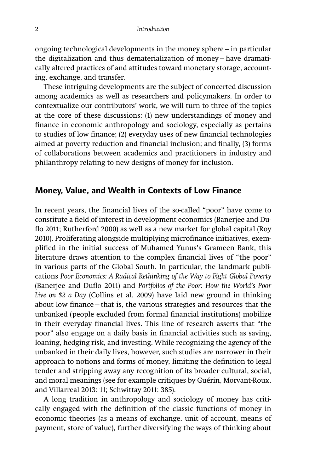ongoing technological developments in the money sphere—in particular the digitalization and thus dematerialization of money—have dramatically altered practices of and attitudes toward monetary storage, accounting, exchange, and transfer.

These intriguing developments are the subject of concerted discussion among academics as well as researchers and policymakers. In order to contextualize our contributors' work, we will turn to three of the topics at the core of these discussions: (1) new understandings of money and finance in economic anthropology and sociology, especially as pertains to studies of low finance; (2) everyday uses of new financial technologies aimed at poverty reduction and financial inclusion; and finally, (3) forms of collaborations between academics and practitioners in industry and philanthropy relating to new designs of money for inclusion.

# **Money, Value, and Wealth in Contexts of Low Finance**

In recent years, the financial lives of the so-called "poor" have come to constitute a field of interest in development economics (Banerjee and Duflo 2011; Rutherford 2000) as well as a new market for global capital (Roy 2010). Proliferating alongside multiplying microfinance initiatives, exemplified in the initial success of Muhamed Yunus's Grameen Bank, this literature draws attention to the complex financial lives of "the poor" in various parts of the Global South. In particular, the landmark publications *Poor Economics: A Radical Rethinking of the Way to Fight Global Poverty* (Banerjee and Duflo 2011) and *Portfolios of the Poor: How the World's Poor Live on \$2 a Day* (Collins et al. 2009) have laid new ground in thinking about low finance – that is, the various strategies and resources that the unbanked (people excluded from formal financial institutions) mobilize in their everyday financial lives. This line of research asserts that "the poor" also engage on a daily basis in financial activities such as saving, loaning, hedging risk, and investing. While recognizing the agency of the unbanked in their daily lives, however, such studies are narrower in their approach to notions and forms of money, limiting the definition to legal tender and stripping away any recognition of its broader cultural, social, and moral meanings (see for example critiques by Guérin, Morvant-Roux, and Villarreal 2013: 11; Schwittay 2011: 385).

A long tradition in anthropology and sociology of money has critically engaged with the definition of the classic functions of money in economic theories (as a means of exchange, unit of account, means of payment, store of value), further diversifying the ways of thinking about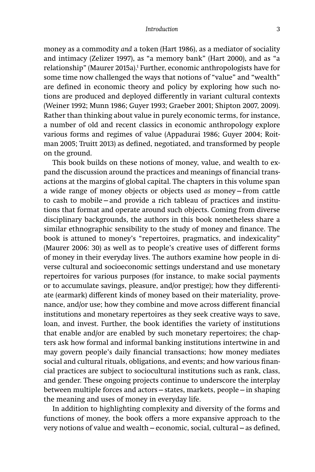money as a commodity *and* a token (Hart 1986), as a mediator of sociality and intimacy (Zelizer 1997), as "a memory bank" (Hart 2000), and as "a relationship" (Maurer 2015a).<sup>1</sup> Further, economic anthropologists have for some time now challenged the ways that notions of "value" and "wealth" are defined in economic theory and policy by exploring how such notions are produced and deployed differently in variant cultural contexts (Weiner 1992; Munn 1986; Guyer 1993; Graeber 2001; Shipton 2007, 2009). Rather than thinking about value in purely economic terms, for instance, a number of old and recent classics in economic anthropology explore various forms and regimes of value (Appadurai 1986; Guyer 2004; Roitman 2005; Truitt 2013) as defined, negotiated, and transformed by people on the ground.

This book builds on these notions of money, value, and wealth to expand the discussion around the practices and meanings of financial transactions at the margins of global capital. The chapters in this volume span a wide range of money objects or objects used *as* money—from cattle to cash to mobile—and provide a rich tableau of practices and institutions that format and operate around such objects. Coming from diverse disciplinary backgrounds, the authors in this book nonetheless share a similar ethnographic sensibility to the study of money and finance. The book is attuned to money's "repertoires, pragmatics, and indexicality" (Maurer 2006: 30) as well as to people's creative uses of different forms of money in their everyday lives. The authors examine how people in diverse cultural and socioeconomic settings understand and use monetary repertoires for various purposes (for instance, to make social payments or to accumulate savings, pleasure, and/or prestige); how they differentiate (earmark) different kinds of money based on their materiality, provenance, and/or use; how they combine and move across different financial institutions and monetary repertoires as they seek creative ways to save, loan, and invest. Further, the book identifies the variety of institutions that enable and/or are enabled by such monetary repertoires; the chapters ask how formal and informal banking institutions intertwine in and may govern people's daily financial transactions; how money mediates social and cultural rituals, obligations, and events; and how various financial practices are subject to sociocultural institutions such as rank, class, and gender. These ongoing projects continue to underscore the interplay between multiple forces and actors—states, markets, people—in shaping the meaning and uses of money in everyday life.

In addition to highlighting complexity and diversity of the forms and functions of money, the book offers a more expansive approach to the very notions of value and wealth – economic, social, cultural – as defined,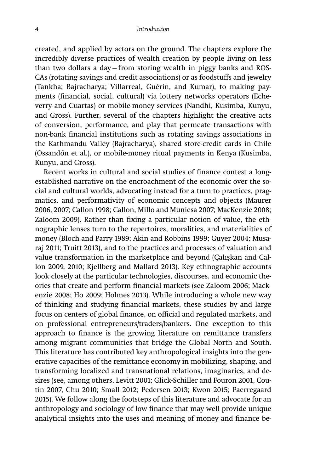created, and applied by actors on the ground. The chapters explore the incredibly diverse practices of wealth creation by people living on less than two dollars a day—from storing wealth in piggy banks and ROS-CAs (rotating savings and credit associations) or as foodstuffs and jewelry (Tankha; Bajracharya; Villarreal, Guérin, and Kumar), to making payments (financial, social, cultural) via lottery networks operators (Echeverry and Cuartas) or mobile-money services (Nandhi, Kusimba, Kunyu, and Gross). Further, several of the chapters highlight the creative acts of conversion, performance, and play that permeate transactions with non-bank financial institutions such as rotating savings associations in the Kathmandu Valley (Bajracharya), shared store-credit cards in Chile (Ossandón et al.), or mobile-money ritual payments in Kenya (Kusimba, Kunyu, and Gross).

Recent works in cultural and social studies of finance contest a longestablished narrative on the encroachment of the economic over the social and cultural worlds, advocating instead for a turn to practices, pragmatics, and performativity of economic concepts and objects (Maurer 2006, 2007; Callon 1998; Callon, Millo and Muniesa 2007; MacKenzie 2008; Zaloom 2009). Rather than fixing a particular notion of value, the ethnographic lenses turn to the repertoires, moralities, and materialities of money (Bloch and Parry 1989; Akin and Robbins 1999; Guyer 2004; Musaraj 2011; Truitt 2013), and to the practices and processes of valuation and value transformation in the marketplace and beyond (Çalışkan and Callon 2009, 2010; Kjellberg and Mallard 2013). Key ethnographic accounts look closely at the particular technologies, discourses, and economic theories that create and perform financial markets (see Zaloom 2006; Mackenzie 2008; Ho 2009; Holmes 2013). While introducing a whole new way of thinking and studying financial markets, these studies by and large focus on centers of global finance, on official and regulated markets, and on professional entrepreneurs/traders/bankers. One exception to this approach to finance is the growing literature on remittance transfers among migrant communities that bridge the Global North and South. This literature has contributed key anthropological insights into the generative capacities of the remittance economy in mobilizing, shaping, and transforming localized and transnational relations, imaginaries, and desires (see, among others, Levitt 2001; Glick-Schiller and Fouron 2001, Coutin 2007, Chu 2010; Small 2012; Pedersen 2013; Kwon 2015; Paerregaard 2015). We follow along the footsteps of this literature and advocate for an anthropology and sociology of low finance that may well provide unique analytical insights into the uses and meaning of money and finance be-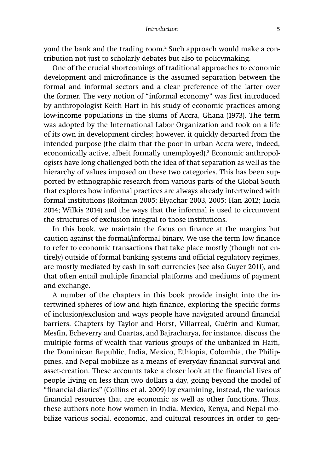#### *Introduction* 5

yond the bank and the trading room.<sup>2</sup> Such approach would make a contribution not just to scholarly debates but also to policymaking.

One of the crucial shortcomings of traditional approaches to economic development and microfinance is the assumed separation between the formal and informal sectors and a clear preference of the latter over the former. The very notion of "informal economy" was first introduced by anthropologist Keith Hart in his study of economic practices among low-income populations in the slums of Accra, Ghana (1973). The term was adopted by the International Labor Organization and took on a life of its own in development circles; however, it quickly departed from the intended purpose (the claim that the poor in urban Accra were, indeed, economically active, albeit formally unemployed).<sup>3</sup> Economic anthropologists have long challenged both the idea of that separation as well as the hierarchy of values imposed on these two categories. This has been supported by ethnographic research from various parts of the Global South that explores how informal practices are always already intertwined with formal institutions (Roitman 2005; Elyachar 2003, 2005; Han 2012; Lucia 2014; Wilkis 2014) and the ways that the informal is used to circumvent the structures of exclusion integral to those institutions.

In this book, we maintain the focus on finance at the margins but caution against the formal/informal binary. We use the term low finance to refer to economic transactions that take place mostly (though not entirely) outside of formal banking systems and official regulatory regimes, are mostly mediated by cash in soft currencies (see also Guyer 2011), and that often entail multiple financial platforms and mediums of payment and exchange.

A number of the chapters in this book provide insight into the intertwined spheres of low and high finance, exploring the specific forms of inclusion/exclusion and ways people have navigated around financial barriers. Chapters by Taylor and Horst, Villarreal, Guérin and Kumar, Mesfin, Echeverry and Cuartas, and Bajracharya, for instance, discuss the multiple forms of wealth that various groups of the unbanked in Haiti, the Dominican Republic, India, Mexico, Ethiopia, Colombia, the Philippines, and Nepal mobilize as a means of everyday financial survival and asset-creation. These accounts take a closer look at the financial lives of people living on less than two dollars a day, going beyond the model of "financial diaries" (Collins et al. 2009) by examining, instead, the various financial resources that are economic as well as other functions. Thus, these authors note how women in India, Mexico, Kenya, and Nepal mobilize various social, economic, and cultural resources in order to gen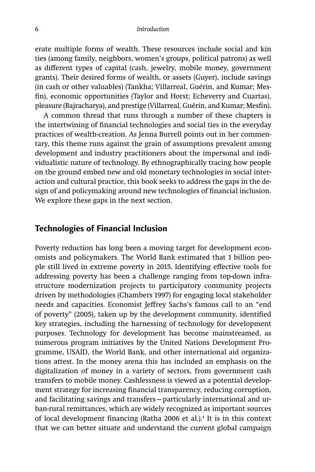erate multiple forms of wealth. These resources include social and kin ties (among family, neighbors, women's groups, political patrons) as well as different types of capital (cash, jewelry, mobile money, government grants). Their desired forms of wealth, or assets (Guyer), include savings (in cash or other valuables) (Tankha; Villarreal, Guérin, and Kumar; Mesfin), economic opportunities (Taylor and Horst; Echeverry and Cuartas), pleasure (Bajracharya), and prestige (Villarreal, Guérin, and Kumar; Mesfin).

A common thread that runs through a number of these chapters is the intertwining of financial technologies and social ties in the everyday practices of wealth-creation. As Jenna Burrell points out in her commentary, this theme runs against the grain of assumptions prevalent among development and industry practitioners about the impersonal and individualistic nature of technology. By ethnographically tracing how people on the ground embed new and old monetary technologies in social interaction and cultural practice, this book seeks to address the gaps in the design of and policymaking around new technologies of financial inclusion. We explore these gaps in the next section.

## **Technologies of Financial Inclusion**

Poverty reduction has long been a moving target for development economists and policymakers. The World Bank estimated that 1 billion people still lived in extreme poverty in 2015. Identifying effective tools for addressing poverty has been a challenge ranging from top-down infrastructure modernization projects to participatory community projects driven by methodologies (Chambers 1997) for engaging local stakeholder needs and capacities. Economist Jeffrey Sachs's famous call to an "end of poverty" (2005), taken up by the development community, identified key strategies, including the harnessing of technology for development purposes. Technology for development has become mainstreamed, as numerous program initiatives by the United Nations Development Programme, USAID, the World Bank, and other international aid organizations attest. In the money arena this has included an emphasis on the digitalization of money in a variety of sectors, from government cash transfers to mobile money. Cashlessness is viewed as a potential development strategy for increasing financial transparency, reducing corruption, and facilitating savings and transfers—particularly international and urban-rural remittances, which are widely recognized as important sources of local development financing (Ratha 2006 et al.).<sup>4</sup> It is in this context that we can better situate and understand the current global campaign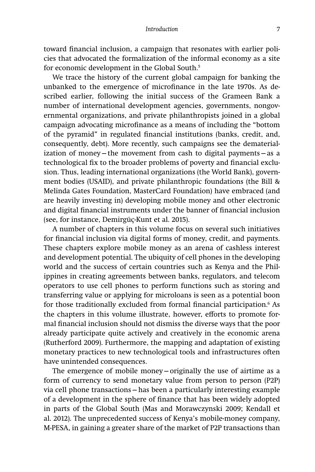#### *Introduction* 7

toward financial inclusion, a campaign that resonates with earlier policies that advocated the formalization of the informal economy as a site for economic development in the Global South.<sup>5</sup>

We trace the history of the current global campaign for banking the unbanked to the emergence of microfinance in the late 1970s. As described earlier, following the initial success of the Grameen Bank a number of international development agencies, governments, nongovernmental organizations, and private philanthropists joined in a global campaign advocating microfinance as a means of including the "bottom" of the pyramid" in regulated financial institutions (banks, credit, and, consequently, debt). More recently, such campaigns see the dematerialization of money—the movement from cash to digital payments—as a technological fix to the broader problems of poverty and financial exclusion. Thus, leading international organizations (the World Bank), government bodies (USAID), and private philanthropic foundations (the Bill & Melinda Gates Foundation, MasterCard Foundation) have embraced (and are heavily investing in) developing mobile money and other electronic and digital financial instruments under the banner of financial inclusion (see, for instance, Demirgüç-Kunt et al. 2015).

A number of chapters in this volume focus on several such initiatives for financial inclusion via digital forms of money, credit, and payments. These chapters explore mobile money as an arena of cashless interest and development potential. The ubiquity of cell phones in the developing world and the success of certain countries such as Kenya and the Philippines in creating agreements between banks, regulators, and telecom operators to use cell phones to perform functions such as storing and transferring value or applying for microloans is seen as a potential boon for those traditionally excluded from formal financial participation.<sup>6</sup> As the chapters in this volume illustrate, however, efforts to promote formal financial inclusion should not dismiss the diverse ways that the poor already participate quite actively and creatively in the economic arena (Rutherford 2009). Furthermore, the mapping and adaptation of existing monetary practices to new technological tools and infrastructures often have unintended consequences.

The emergence of mobile money—originally the use of airtime as a form of currency to send monetary value from person to person (P2P) via cell phone transactions—has been a particularly interesting example of a development in the sphere of finance that has been widely adopted in parts of the Global South (Mas and Morawczynski 2009; Kendall et al. 2012). The unprecedented success of Kenya's mobile-money company, M-PESA, in gaining a greater share of the market of P2P transactions than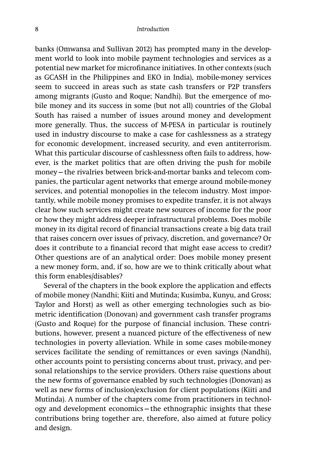banks (Omwansa and Sullivan 2012) has prompted many in the development world to look into mobile payment technologies and services as a potential new market for microfinance initiatives. In other contexts (such as GCASH in the Philippines and EKO in India), mobile-money services seem to succeed in areas such as state cash transfers or P2P transfers among migrants (Gusto and Roque; Nandhi). But the emergence of mobile money and its success in some (but not all) countries of the Global South has raised a number of issues around money and development more generally. Thus, the success of M-PESA in particular is routinely used in industry discourse to make a case for cashlessness as a strategy for economic development, increased security, and even antiterrorism. What this particular discourse of cashlessness often fails to address, however, is the market politics that are often driving the push for mobile money—the rivalries between brick-and-mortar banks and telecom companies, the particular agent networks that emerge around mobile-money services, and potential monopolies in the telecom industry. Most importantly, while mobile money promises to expedite transfer, it is not always clear how such services might create new sources of income for the poor or how they might address deeper infrastructural problems. Does mobile money in its digital record of financial transactions create a big data trail that raises concern over issues of privacy, discretion, and governance? Or does it contribute to a financial record that might ease access to credit? Other questions are of an analytical order: Does mobile money present a new money form, and, if so, how are we to think critically about what this form enables/disables?

Several of the chapters in the book explore the application and effects of mobile money (Nandhi; Kiiti and Mutinda; Kusimba, Kunyu, and Gross; Taylor and Horst) as well as other emerging technologies such as biometric identification (Donovan) and government cash transfer programs (Gusto and Roque) for the purpose of financial inclusion. These contributions, however, present a nuanced picture of the effectiveness of new technologies in poverty alleviation. While in some cases mobile-money services facilitate the sending of remittances or even savings (Nandhi), other accounts point to persisting concerns about trust, privacy, and personal relationships to the service providers. Others raise questions about the new forms of governance enabled by such technologies (Donovan) as well as new forms of inclusion/exclusion for client populations (Kiiti and Mutinda). A number of the chapters come from practitioners in technology and development economics—the ethnographic insights that these contributions bring together are, therefore, also aimed at future policy and design.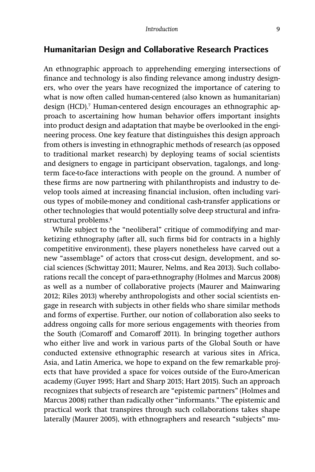# **Humanitarian Design and Collaborative Research Practices**

An ethnographic approach to apprehending emerging intersections of finance and technology is also finding relevance among industry designers, who over the years have recognized the importance of catering to what is now often called human-centered (also known as humanitarian) design (HCD).7 Human-centered design encourages an ethnographic approach to ascertaining how human behavior offers important insights into product design and adaptation that maybe be overlooked in the engineering process. One key feature that distinguishes this design approach from others is investing in ethnographic methods of research (as opposed to traditional market research) by deploying teams of social scientists and designers to engage in participant observation, tagalongs, and longterm face-to-face interactions with people on the ground. A number of these firms are now partnering with philanthropists and industry to develop tools aimed at increasing financial inclusion, often including various types of mobile-money and conditional cash-transfer applications or other technologies that would potentially solve deep structural and infrastructural problems.<sup>8</sup>

While subject to the "neoliberal" critique of commodifying and marketizing ethnography (after all, such firms bid for contracts in a highly competitive environment), these players nonetheless have carved out a new "assemblage" of actors that cross-cut design, development, and social sciences (Schwittay 2011; Maurer, Nelms, and Rea 2013). Such collaborations recall the concept of para-ethnography (Holmes and Marcus 2008) as well as a number of collaborative projects (Maurer and Mainwaring 2012; Riles 2013) whereby anthropologists and other social scientists engage in research with subjects in other fields who share similar methods and forms of expertise. Further, our notion of collaboration also seeks to address ongoing calls for more serious engagements with theories from the South (Comaroff and Comaroff 2011). In bringing together authors who either live and work in various parts of the Global South or have conducted extensive ethnographic research at various sites in Africa, Asia, and Latin America, we hope to expand on the few remarkable projects that have provided a space for voices outside of the Euro-American academy (Guyer 1995; Hart and Sharp 2015; Hart 2015). Such an approach recognizes that subjects of research are "epistemic partners" (Holmes and Marcus 2008) rather than radically other "informants." The epistemic and practical work that transpires through such collaborations takes shape laterally (Maurer 2005), with ethnographers and research "subjects" mu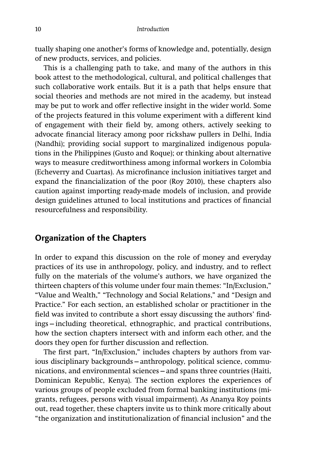tually shaping one another's forms of knowledge and, potentially, design of new products, services, and policies.

This is a challenging path to take, and many of the authors in this book attest to the methodological, cultural, and political challenges that such collaborative work entails. But it is a path that helps ensure that social theories and methods are not mired in the academy, but instead may be put to work and offer reflective insight in the wider world. Some of the projects featured in this volume experiment with a different kind of engagement with their field by, among others, actively seeking to advocate financial literacy among poor rickshaw pullers in Delhi, India (Nandhi); providing social support to marginalized indigenous populations in the Philippines (Gusto and Roque); or thinking about alternative ways to measure creditworthiness among informal workers in Colombia (Echeverry and Cuartas). As microfinance inclusion initiatives target and expand the financialization of the poor (Roy 2010), these chapters also caution against importing ready-made models of inclusion, and provide design guidelines attuned to local institutions and practices of financial resourcefulness and responsibility.

## **Organization of the Chapters**

In order to expand this discussion on the role of money and everyday practices of its use in anthropology, policy, and industry, and to reflect fully on the materials of the volume's authors, we have organized the thirteen chapters of this volume under four main themes: "In/Exclusion," "Value and Wealth," "Technology and Social Relations," and "Design and Practice." For each section, an established scholar or practitioner in the field was invited to contribute a short essay discussing the authors' findings—including theoretical, ethnographic, and practical contributions, how the section chapters intersect with and inform each other, and the doors they open for further discussion and reflection.

The first part, "In/Exclusion," includes chapters by authors from various disciplinary backgrounds—anthropology, political science, communications, and environmental sciences—and spans three countries (Haiti, Dominican Republic, Kenya). The section explores the experiences of various groups of people excluded from formal banking institutions (migrants, refugees, persons with visual impairment). As Ananya Roy points out, read together, these chapters invite us to think more critically about "the organization and institutionalization of financial inclusion" and the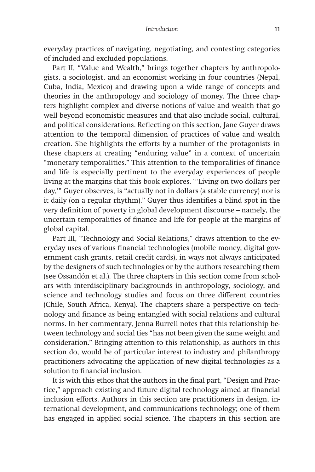everyday practices of navigating, negotiating, and contesting categories of included and excluded populations.

Part II, "Value and Wealth," brings together chapters by anthropologists, a sociologist, and an economist working in four countries (Nepal, Cuba, India, Mexico) and drawing upon a wide range of concepts and theories in the anthropology and sociology of money. The three chapters highlight complex and diverse notions of value and wealth that go well beyond economistic measures and that also include social, cultural, and political considerations. Reflecting on this section, Jane Guyer draws attention to the temporal dimension of practices of value and wealth creation. She highlights the efforts by a number of the protagonists in these chapters at creating "enduring value" in a context of uncertain "monetary temporalities." This attention to the temporalities of finance and life is especially pertinent to the everyday experiences of people living at the margins that this book explores. "'Living on two dollars per day,'" Guyer observes, is "actually not in dollars (a stable currency) nor is it daily (on a regular rhythm)." Guyer thus identifies a blind spot in the very definition of poverty in global development discourse—namely, the uncertain temporalities of finance and life for people at the margins of global capital.

Part III, "Technology and Social Relations," draws attention to the everyday uses of various financial technologies (mobile money, digital government cash grants, retail credit cards), in ways not always anticipated by the designers of such technologies or by the authors researching them (see Ossandón et al.). The three chapters in this section come from scholars with interdisciplinary backgrounds in anthropology, sociology, and science and technology studies and focus on three different countries (Chile, South Africa, Kenya). The chapters share a perspective on technology and finance as being entangled with social relations and cultural norms. In her commentary, Jenna Burrell notes that this relationship between technology and social ties "has not been given the same weight and consideration." Bringing attention to this relationship, as authors in this section do, would be of particular interest to industry and philanthropy practitioners advocating the application of new digital technologies as a solution to financial inclusion.

It is with this ethos that the authors in the final part, "Design and Practice," approach existing and future digital technology aimed at financial inclusion efforts. Authors in this section are practitioners in design, international development, and communications technology; one of them has engaged in applied social science. The chapters in this section are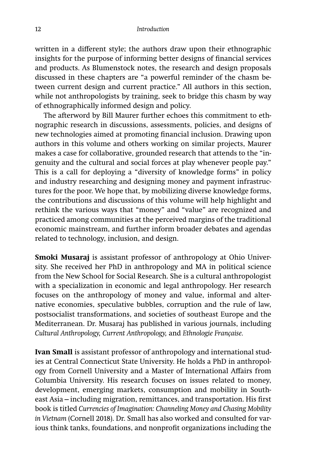written in a different style; the authors draw upon their ethnographic insights for the purpose of informing better designs of financial services and products. As Blumenstock notes, the research and design proposals discussed in these chapters are "a powerful reminder of the chasm between current design and current practice." All authors in this section, while not anthropologists by training, seek to bridge this chasm by way of ethnographically informed design and policy.

The afterword by Bill Maurer further echoes this commitment to ethnographic research in discussions, assessments, policies, and designs of new technologies aimed at promoting financial inclusion. Drawing upon authors in this volume and others working on similar projects, Maurer makes a case for collaborative, grounded research that attends to the "ingenuity and the cultural and social forces at play whenever people pay." This is a call for deploying a "diversity of knowledge forms" in policy and industry researching and designing money and payment infrastructures for the poor. We hope that, by mobilizing diverse knowledge forms, the contributions and discussions of this volume will help highlight and rethink the various ways that "money" and "value" are recognized and practiced among communities at the perceived margins of the traditional economic mainstream, and further inform broader debates and agendas related to technology, inclusion, and design.

**Smoki Musaraj** is assistant professor of anthropology at Ohio University. She received her PhD in anthropology and MA in political science from the New School for Social Research. She is a cultural anthropologist with a specialization in economic and legal anthropology. Her research focuses on the anthropology of money and value, informal and alternative economies, speculative bubbles, corruption and the rule of law, postsocialist transformations, and societies of southeast Europe and the Mediterranean. Dr. Musaraj has published in various journals, including *Cultural Anthropology, Current Anthropology,* and *Ethnologie Française.*

**Ivan Small** is assistant professor of anthropology and international studies at Central Connecticut State University. He holds a PhD in anthropology from Cornell University and a Master of International Affairs from Columbia University. His research focuses on issues related to money, development, emerging markets, consumption and mobility in Southeast Asia – including migration, remittances, and transportation. His first book is titled *Currencies of Imagination: Channeling Money and Chasing Mobility in Vietnam* (Cornell 2018). Dr. Small has also worked and consulted for various think tanks, foundations, and nonprofit organizations including the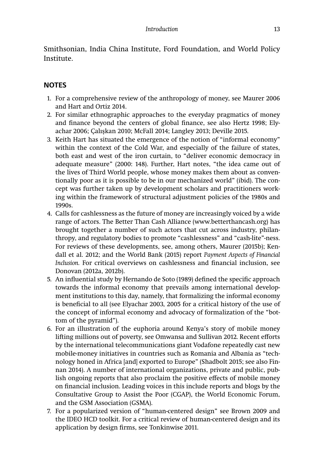Smithsonian, India China Institute, Ford Foundation, and World Policy Institute.

## **NOTES**

- 1. For a comprehensive review of the anthropology of money, see Maurer 2006 and Hart and Ortiz 2014.
- 2. For similar ethnographic approaches to the everyday pragmatics of money and finance beyond the centers of global finance, see also Hertz 1998; Elyachar 2006; Çalışkan 2010; McFall 2014; Langley 2013; Deville 2015.
- 3. Keith Hart has situated the emergence of the notion of "informal economy" within the context of the Cold War, and especially of the failure of states, both east and west of the iron curtain, to "deliver economic democracy in adequate measure" (2000: 148). Further, Hart notes, "the idea came out of the lives of Third World people, whose money makes them about as conventionally poor as it is possible to be in our mechanized world" (ibid). The concept was further taken up by development scholars and practitioners working within the framework of structural adjustment policies of the 1980s and 1990s.
- 4. Calls for cashlessness as the future of money are increasingly voiced by a wide range of actors. The Better Than Cash Alliance (www.betterthancash.org) has brought together a number of such actors that cut across industry, philanthropy, and regulatory bodies to promote "cashlessness" and "cash-lite"-ness. For reviews of these developments, see, among others, Maurer (2015b); Kendall et al. 2012; and the World Bank (2015) report *Payment Aspects of Financial Inclusion*. For critical overviews on cashlessness and financial inclusion, see Donovan (2012a, 2012b).
- 5. An influential study by Hernando de Soto (1989) defined the specific approach towards the informal economy that prevails among international development institutions to this day, namely, that formalizing the informal economy is beneficial to all (see Elyachar 2003, 2005 for a critical history of the use of the concept of informal economy and advocacy of formalization of the "bottom of the pyramid").
- 6. For an illustration of the euphoria around Kenya's story of mobile money lifting millions out of poverty, see Omwansa and Sullivan 2012. Recent efforts by the international telecommunications giant Vodafone repeatedly cast new mobile-money initiatives in countries such as Romania and Albania as "technology honed in Africa [and] exported to Europe" (Shadbolt 2015; see also Finnan 2014). A number of international organizations, private and public, publish ongoing reports that also proclaim the positive effects of mobile money on financial inclusion. Leading voices in this include reports and blogs by the Consultative Group to Assist the Poor (CGAP), the World Economic Forum, and the GSM Association (GSMA).
- 7. For a popularized version of "human-centered design" see Brown 2009 and the IDEO HCD toolkit. For a critical review of human-centered design and its application by design firms, see Tonkinwise 2011.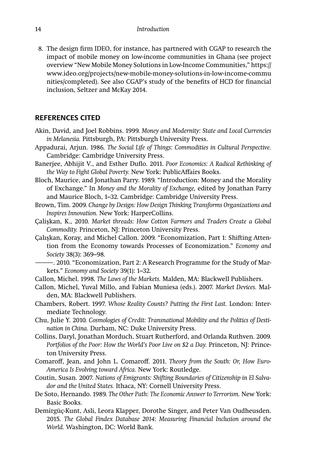8. The design firm IDEO, for instance, has partnered with CGAP to research the impact of mobile money on low-income communities in Ghana (see project overview "New Mobile Money Solutions in Low-Income Communities," https:// www.ideo.org/projects/new-mobile-money-solutions-in-low-income-commu nities/completed). See also CGAP's study of the benefits of HCD for financial inclusion, Seltzer and McKay 2014.

### **REFERENCES CITED**

- Akin, David, and Joel Robbins. 1999. *Money and Modernity: State and Local Currencies in Melanesia.* Pittsburgh, PA: Pittsburgh University Press.
- Appadurai, Arjun. 1986. *The Social Life of Things: Commodities in Cultural Perspective.* Cambridge: Cambridge University Press.
- Banerjee, Abhijit V., and Esther Duflo. 2011. Poor Economics: A Radical Rethinking of the Way to Fight Global Poverty. New York: PublicAffairs Books.
- Bloch, Maurice, and Jonathan Parry. 1989. "Introduction: Money and the Morality of Exchange." In *Money and the Morality of Exchange,* edited by Jonathan Parry and Maurice Bloch, 1–32. Cambridge: Cambridge University Press.
- Brown, Tim. 2009. *Change by Design: How Design Thinking Transforms Organizations and Inspires Innovation.* New York: HarperCollins.
- Çalişkan, K., 2010. *Market threads: How Cotton Farmers and Traders Create a Global Commodity.* Princeton, NJ: Princeton University Press.
- Çalışkan, Koray, and Michel Callon. 2009. "Economization, Part 1: Shifting Attention from the Economy towards Processes of Economization." *Economy and Society* 38(3): 369–98.
	- ———. 2010. "Economization, Part 2: A Research Programme for the Study of Markets." *Economy and Society* 39(1): 1–32.
- Callon, Michel. 1998. *The Laws of the Markets.* Malden, MA: Blackwell Publishers.
- Callon, Michel, Yuval Millo, and Fabian Muniesa (eds.). 2007. *Market Devices.* Malden, MA: Blackwell Publishers.
- Chambers, Robert. 1997. *Whose Reality Counts? Putting the First Last.* London: Intermediate Technology.
- Chu, Julie Y. 2010. *Cosmologies of Credit: Transnational Mobility and the Politics of Destination in China.* Durham, NC: Duke University Press.
- Collins, Daryl, Jonathan Morduch, Stuart Rutherford, and Orlanda Ruthven. 2009. *Portfolios of the Poor: How the World's Poor Live on \$2 a Day.* Princeton, NJ: Princeton University Press.
- Comaroff, Jean, and John L. Comaroff. 2011. *Theory from the South: Or, How Euro-America Is Evolving toward Africa.* New York: Routledge.
- Coutin, Susan. 2007. *Nations of Emigrants: Shifting Boundaries of Citizenship in El Salvador and the United States.* Ithaca, NY: Cornell University Press.
- De Soto, Hernando. 1989. *The Other Path: The Economic Answer to Terrorism.* New York: Basic Books.
- Demirgüç-Kunt, Asli, Leora Klapper, Dorothe Singer, and Peter Van Oudheusden. 2015. *The Global Findex Database 2014: Measuring Financial Inclusion around the World.* Washington, DC: World Bank.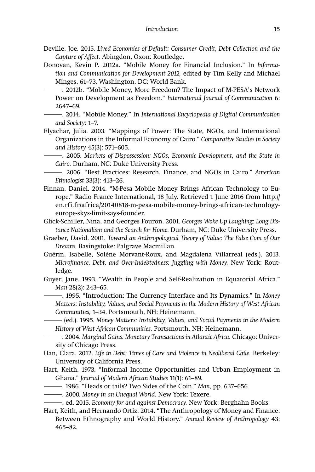- Deville, Joe. 2015. *Lived Economies of Default: Consumer Credit, Debt Collection and the*  Capture of Affect. Abingdon, Oxon: Routledge.
- Donovan, Kevin P. 2012a. "Mobile Money for Financial Inclusion." In *Information and Communication for Development 2012,* edited by Tim Kelly and Michael Minges, 61–73. Washington, DC: World Bank.
	- ———. 2012b. "Mobile Money, More Freedom? The Impact of M-PESA's Network Power on Development as Freedom." *International Journal of Communication* 6: 2647–69.
	- ———. 2014. "Mobile Money." In *International Encyclopedia of Digital Communication and Society*: 1–7.
- Elyachar, Julia. 2003. "Mappings of Power: The State, NGOs, and International Organizations in the Informal Economy of Cairo." *Comparative Studies in Society and History* 45(3): 571–605.

———. 2005. *Markets of Dispossession: NGOs, Economic Development, and the State in Cairo.* Durham, NC: Duke University Press.

———. 2006. "Best Practices: Research, Finance, and NGOs in Cairo." *American Ethnologist* 33(3): 413–26.

- Finnan, Daniel. 2014. "M-Pesa Mobile Money Brings African Technology to Europe." Radio France International, 18 July. Retrieved 1 June 2016 from http:// en.rfi.fr/africa/20140818-m-pesa-mobile-money-brings-african-technologyeurope-skys-limit-says-founder.
- Glick-Schiller, Nina, and Georges Fouron. 2001. *Georges Woke Up Laughing: Long Distance Nationalism and the Search for Home.* Durham, NC: Duke University Press.
- Graeber, David. 2001. *Toward an Anthropological Theory of Value: The False Coin of Our Dreams.* Basingstoke: Palgrave Macmillan.
- Guérin, Isabelle, Solène Morvant-Roux, and Magdalena Villarreal (eds.). 2013. *Microfi nance, Debt, and Over-Indebtedness: Juggling with Money.* New York: Routledge.
- Guyer, Jane. 1993. "Wealth in People and Self-Realization in Equatorial Africa." *Man* 28(2): 243–65.
	- ———. 1995. "Introduction: The Currency Interface and Its Dynamics." In *Money Matters: Instability, Values, and Social Payments in the Modern History of West African Communities,* 1–34. Portsmouth, NH: Heinemann.
	- ——— (ed.). 1995. *Money Matters: Instability, Values, and Social Payments in the Modern History of West African Communities.* Portsmouth, NH: Heinemann.
- ———. 2004. *Marginal Gains: Monetary Transactions in Atlantic Africa.* Chicago: University of Chicago Press.
- Han, Clara. 2012. *Life in Debt: Times of Care and Violence in Neoliberal Chile.* Berkeley: University of California Press.
- Hart, Keith. 1973. "Informal Income Opportunities and Urban Employment in Ghana." *Journal of Modern African Studies* 11(1): 61–89.
- ———. 1986. "Heads or tails? Two Sides of the Coin." *Man,* pp. 637–656.
- ———. 2000. *Money in an Unequal World.* New York: Texere.
- ———, ed. 2015. *Economy for and against Democracy.* New York: Berghahn Books.
- Hart, Keith, and Hernando Ortiz. 2014. "The Anthropology of Money and Finance: Between Ethnography and World History." *Annual Review of Anthropology* 43: 465–82.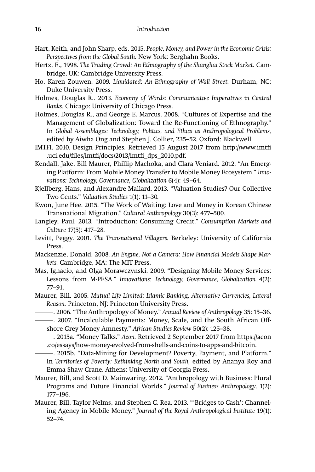- Hart, Keith, and John Sharp, eds. 2015. *People, Money, and Power in the Economic Crisis: Perspectives from the Global South.* New York: Berghahn Books.
- Hertz, E., 1998. *The Trading Crowd: An Ethnography of the Shanghai Stock Market.* Cambridge, UK: Cambridge University Press.
- Ho, Karen Zouwen. 2009. *Liquidated: An Ethnography of Wall Street.* Durham, NC: Duke University Press.
- Holmes, Douglas R.. 2013. *Economy of Words: Communicative Imperatives in Central Banks.* Chicago: University of Chicago Press.
- Holmes, Douglas R., and George E. Marcus. 2008. "Cultures of Expertise and the Management of Globalization: Toward the Re-Functioning of Ethnography." In *Global Assemblages: Technology, Politics, and Ethics as Anthropological Problems,* edited by Aiwha Ong and Stephen J. Collier, 235–52. Oxford: Blackwell.
- IMTFI. 2010. Design Principles. Retrieved 15 August 2017 from http://www.imtfi .uci.edu/fi les/imtfi /docs/2013/imtfi \_dps\_2010.pdf.
- Kendall, Jake, Bill Maurer, Phillip Machoka, and Clara Veniard. 2012. "An Emerging Platform: From Mobile Money Transfer to Mobile Money Ecosystem." *Innovations: Technology, Governance, Globalization* 6(4): 49–64.
- Kjellberg, Hans, and Alexandre Mallard. 2013. "Valuation Studies? Our Collective Two Cents." *Valuation Studies* 1(1): 11–30.
- Kwon, June Hee. 2015. "The Work of Waiting: Love and Money in Korean Chinese Transnational Migration." *Cultural Anthropology* 30(3): 477–500.
- Langley, Paul. 2013. "Introduction: Consuming Credit." *Consumption Markets and Culture* 17(5): 417–28.
- Levitt, Peggy. 2001. *The Transnational Villagers.* Berkeley: University of California Press.
- Mackenzie, Donald. 2008. *An Engine, Not a Camera: How Financial Models Shape Markets.* Cambridge, MA: The MIT Press.
- Mas, Ignacio, and Olga Morawczynski. 2009. "Designing Mobile Money Services: Lessons from M-PESA." *Innovations: Technology, Governance, Globalization* 4(2): 77–91.
- Maurer, Bill. 2005. *Mutual Life Limited: Islamic Banking, Alternative Currencies, Lateral Reason.* Princeton, NJ: Princeton University Press.
- ———. 2006. "The Anthropology of Money." *Annual Review of Anthropology* 35: 15–36.
- ———. 2007. "Incalculable Payments: Money, Scale, and the South African Off shore Grey Money Amnesty." *African Studies Review* 50(2): 125–38.
- ———. 2015a. "Money Talks." *Aeon.* Retrieved 2 September 2017 from https://aeon .co/essays/how-money-evolved-from-shells-and-coins-to-apps-and-bitcoin.

———. 2015b. "Data-Mining for Development? Poverty, Payment, and Platform." In *Territories of Poverty: Rethinking North and South,* edited by Ananya Roy and Emma Shaw Crane. Athens: University of Georgia Press.

- Maurer, Bill, and Scott D. Mainwaring. 2012. "Anthropology with Business: Plural Programs and Future Financial Worlds." *Journal of Business Anthropology*. 1(2): 177–196.
- Maurer, Bill, Taylor Nelms, and Stephen C. Rea. 2013. "'Bridges to Cash': Channeling Agency in Mobile Money." *Journal of the Royal Anthropological Institute* 19(1): 52–74.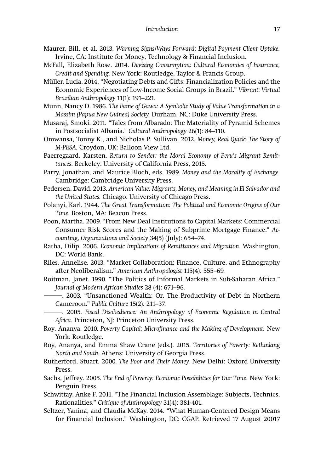- Maurer, Bill, et al. 2013. *Warning Signs/Ways Forward: Digital Payment Client Uptake.* Irvine, CA: Institute for Money, Technology & Financial Inclusion.
- McFall, Elizabeth Rose. 2014. *Devising Consumption: Cultural Economies of Insurance, Credit and Spending.* New York: Routledge, Taylor & Francis Group.
- Müller, Lucia. 2014. "Negotiating Debts and Gifts: Financialization Policies and the Economic Experiences of Low-Income Social Groups in Brazil." *Vibrant: Virtual Brazilian Anthropology* 11(1): 191–221.
- Munn, Nancy D. 1986. *The Fame of Gawa: A Symbolic Study of Value Transformation in a Massim (Papua New Guinea) Society.* Durham, NC: Duke University Press.
- Musaraj, Smoki. 2011. "Tales from Albarado: The Materiality of Pyramid Schemes in Postsocialist Albania." *Cultural Anthropology* 26(1): 84–110.
- Omwansa, Tonny K., and Nicholas P. Sullivan. 2012. *Money, Real Quick: The Story of M-PESA.* Croydon, UK: Balloon View Ltd.
- Paerregaard, Karsten. *Return to Sender: the Moral Economy of Peru's Migrant Remittances.* Berkeley: University of California Press, 2015.
- Parry, Jonathan, and Maurice Bloch, eds. 1989. *Money and the Morality of Exchange.* Cambridge: Cambridge University Press.
- Pedersen, David. 2013. *American Value: Migrants, Money, and Meaning in El Salvador and the United States.* Chicago: University of Chicago Press.
- Polanyi, Karl. 1944. *The Great Transformation: The Political and Economic Origins of Our Time.* Boston, MA: Beacon Press.
- Poon, Martha. 2009. "From New Deal Institutions to Capital Markets: Commercial Consumer Risk Scores and the Making of Subprime Mortgage Finance." *Accounting, Organizations and Society* 34(5) (July): 654–74.
- Ratha, Dilip. 2006. *Economic Implications of Remittances and Migration.* Washington, DC: World Bank.
- Riles, Annelise. 2013. "Market Collaboration: Finance, Culture, and Ethnography after Neoliberalism." *American Anthropologist* 115(4): 555–69.
- Roitman, Janet. 1990. "The Politics of Informal Markets in Sub-Saharan Africa." *Journal of Modern African Studies* 28 (4): 671–96.
- ———. 2003. "Unsanctioned Wealth: Or, The Productivity of Debt in Northern Cameroon." *Public Culture* 15(2): 211–37.
	- ———. 2005. *Fiscal Disobedience: An Anthropology of Economic Regulation in Central Africa.* Princeton, NJ: Princeton University Press.
- Roy, Ananya. 2010. *Poverty Capital: Microfi nance and the Making of Development.* New York: Routledge.
- Roy, Ananya, and Emma Shaw Crane (eds.). 2015. *Territories of Poverty: Rethinking North and South.* Athens: University of Georgia Press.
- Rutherford, Stuart. 2000. *The Poor and Their Money.* New Delhi: Oxford University Press.
- Sachs, Jeffrey. 2005. *The End of Poverty: Economic Possibilities for Our Time. New York:* Penguin Press.
- Schwittay, Anke F. 2011. "The Financial Inclusion Assemblage: Subjects, Technics, Rationalities." *Critique of Anthropology* 31(4): 381-401.
- Seltzer, Yanina, and Claudia McKay. 2014. "What Human-Centered Design Means for Financial Inclusion." Washington, DC: CGAP. Retrieved 17 August 20017